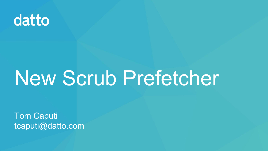

# New Scrub Prefetcher

**Tom Caputi** tcaputi@datto.com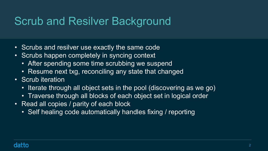# Scrub and Resilver Background

- Scrubs and resilver use exactly the same code
- Scrubs happen completely in syncing context
	- After spending some time scrubbing we suspend
	- Resume next txg, reconciling any state that changed
- Scrub iteration
	-
	-
- Iterate through all object sets in the pool (discovering as we go) • Traverse through all blocks of each object set in logical order • Read all copies / parity of each block
	- Self healing code automatically handles fixing / reporting

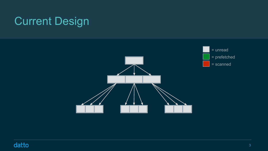

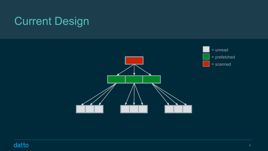

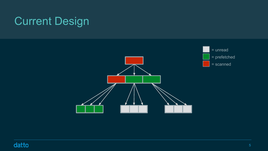



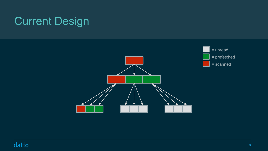

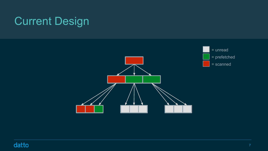

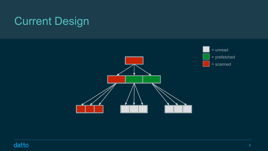

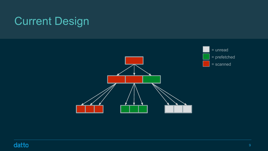

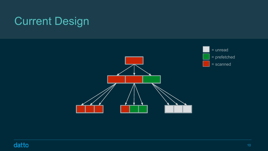

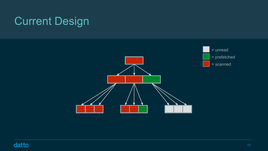

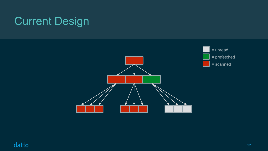

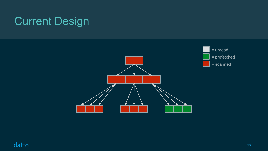

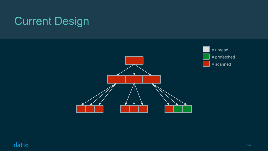

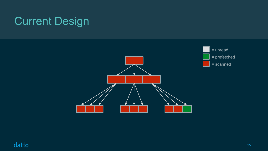

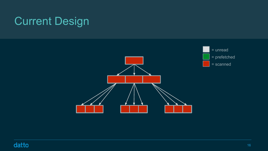



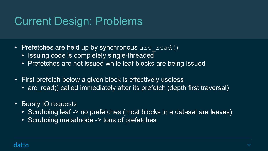# Current Design: Problems

- Prefetches are held up by synchronous arc read()
	- Issuing code is completely single-threaded
	- Prefetches are not issued while leaf blocks are being issued
- First prefetch below a given block is effectively useless
	-
- Bursty IO requests
	-
	- Scrubbing metadnode -> tons of prefetches



• arc read() called immediately after its prefetch (depth first traversal)

• Scrubbing leaf -> no prefetches (most blocks in a dataset are leaves)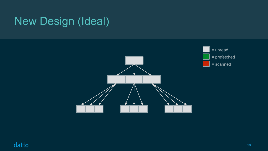# New Design (Ideal)



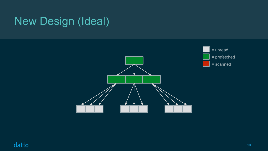# New Design (Ideal)



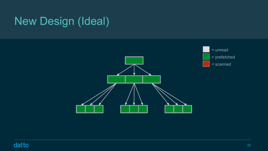# New Design (Ideal)



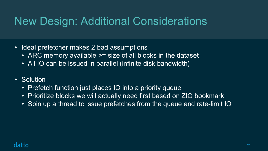# New Design: Additional Considerations

- Ideal prefetcher makes 2 bad assumptions
	- ARC memory available >= size of all blocks in the dataset
	- All IO can be issued in parallel (infinite disk bandwidth)
- Solution
	- Prefetch function just places IO into a priority queue
	- Prioritize blocks we will actually need first based on ZIO bookmark
	-



• Spin up a thread to issue prefetches from the queue and rate-limit IO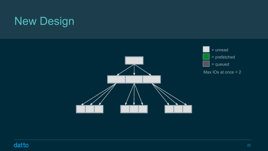

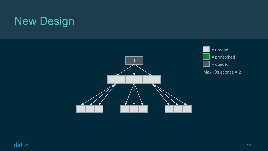

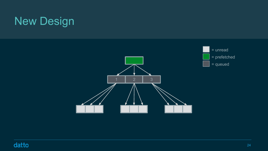



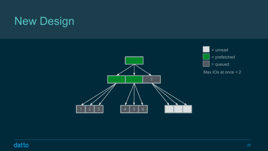

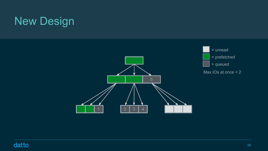

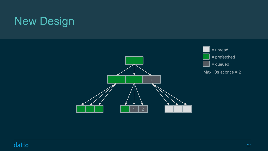

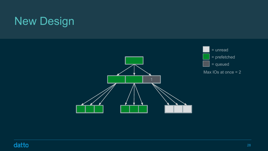

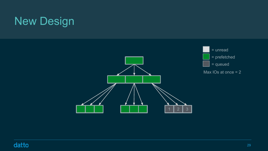

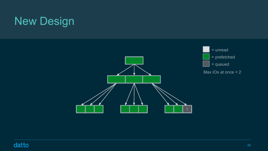

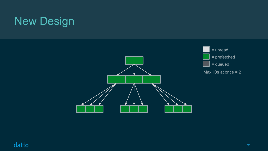

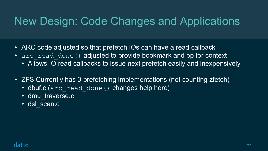# New Design: Code Changes and Applications

- ARC code adjusted so that prefetch IOs can have a read callback • arc read done() adjusted to provide bookmark and bp for context • Allows IO read callbacks to issue next prefetch easily and inexpensively
- 
- 
- ZFS Currently has 3 prefetching implementations (not counting zfetch) • dbuf.c (arc read done () changes help here)
- - dmu\_traverse.c
	- dsl\_scan.c